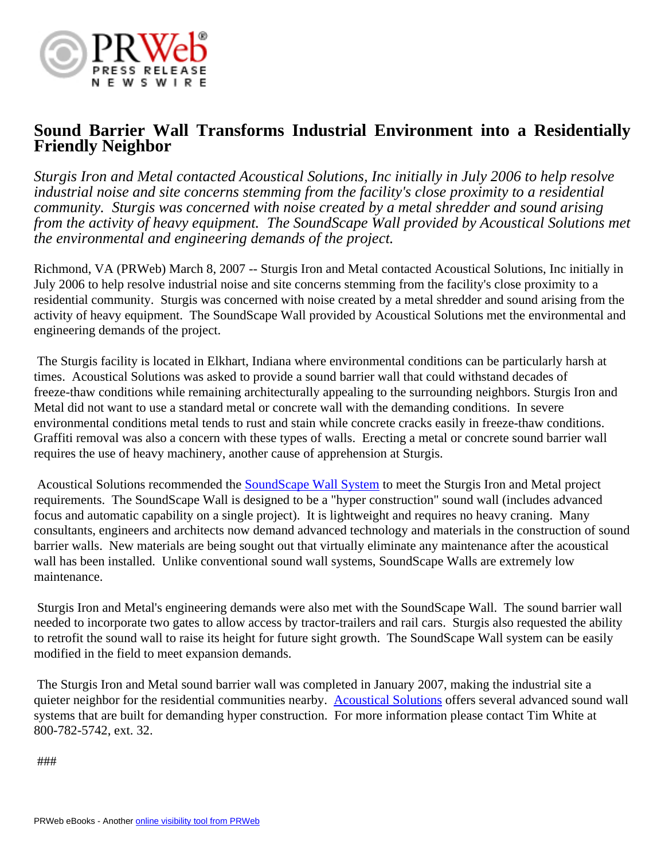

## **Sound Barrier Wall Transforms Industrial Environment into a Residentially Friendly Neighbor**

*Sturgis Iron and Metal contacted Acoustical Solutions, Inc initially in July 2006 to help resolve industrial noise and site concerns stemming from the facility's close proximity to a residential community. Sturgis was concerned with noise created by a metal shredder and sound arising from the activity of heavy equipment. The SoundScape Wall provided by Acoustical Solutions met the environmental and engineering demands of the project.*

Richmond, VA (PRWeb) March 8, 2007 -- Sturgis Iron and Metal contacted Acoustical Solutions, Inc initially in July 2006 to help resolve industrial noise and site concerns stemming from the facility's close proximity to a residential community. Sturgis was concerned with noise created by a metal shredder and sound arising from the activity of heavy equipment. The SoundScape Wall provided by Acoustical Solutions met the environmental and engineering demands of the project.

 The Sturgis facility is located in Elkhart, Indiana where environmental conditions can be particularly harsh at times. Acoustical Solutions was asked to provide a sound barrier wall that could withstand decades of freeze-thaw conditions while remaining architecturally appealing to the surrounding neighbors. Sturgis Iron and Metal did not want to use a standard metal or concrete wall with the demanding conditions. In severe environmental conditions metal tends to rust and stain while concrete cracks easily in freeze-thaw conditions. Graffiti removal was also a concern with these types of walls. Erecting a metal or concrete sound barrier wall requires the use of heavy machinery, another cause of apprehension at Sturgis.

 Acoustical Solutions recommended the [SoundScape Wall System](http://www.acousticalsolutions.com/products/wall_systems/soundscape_walls.asp) to meet the Sturgis Iron and Metal project requirements. The SoundScape Wall is designed to be a "hyper construction" sound wall (includes advanced focus and automatic capability on a single project). It is lightweight and requires no heavy craning. Many consultants, engineers and architects now demand advanced technology and materials in the construction of sound barrier walls. New materials are being sought out that virtually eliminate any maintenance after the acoustical wall has been installed. Unlike conventional sound wall systems, SoundScape Walls are extremely low maintenance.

 Sturgis Iron and Metal's engineering demands were also met with the SoundScape Wall. The sound barrier wall needed to incorporate two gates to allow access by tractor-trailers and rail cars. Sturgis also requested the ability to retrofit the sound wall to raise its height for future sight growth. The SoundScape Wall system can be easily modified in the field to meet expansion demands.

 The Sturgis Iron and Metal sound barrier wall was completed in January 2007, making the industrial site a quieter neighbor for the residential communities nearby. [Acoustical Solutions](http://www.acousticalsolutions.com) offers several advanced sound wall systems that are built for demanding hyper construction. For more information please contact Tim White at 800-782-5742, ext. 32.

###